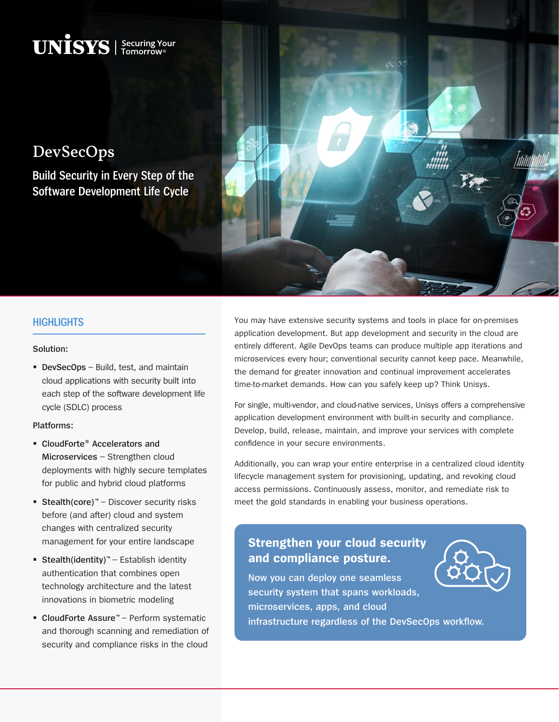DevSecOps

**Build Security in Every Step of the Software Development Life Cycle**

 $\mathbf{UNISS}$  | Securing Your



## **HIGHLIGHTS**

### **Solution:**

 **DevSecOps** – Build, test, and maintain cloud applications with security built into each step of the software development life cycle (SDLC) process

#### **Platforms:**

- **CloudForte® Accelerators and Microservices** – Strengthen cloud deployments with highly secure templates for public and hybrid cloud platforms
- Stealth(core)<sup>™</sup> Discover security risks before (and after) cloud and system changes with centralized security management for your entire landscape
- **Stealth(identity)**™ Establish identity authentication that combines open technology architecture and the latest innovations in biometric modeling
- **CloudForte Assure**™ Perform systematic and thorough scanning and remediation of security and compliance risks in the cloud

You may have extensive security systems and tools in place for on-premises application development. But app development and security in the cloud are entirely different. Agile DevOps teams can produce multiple app iterations and microservices every hour; conventional security cannot keep pace. Meanwhile, the demand for greater innovation and continual improvement accelerates time-to-market demands. How can you safely keep up? Think Unisys.

For single, multi-vendor, and cloud-native services, Unisys offers a comprehensive application development environment with built-in security and compliance. Develop, build, release, maintain, and improve your services with complete confidence in your secure environments.

Additionally, you can wrap your entire enterprise in a centralized cloud identity lifecycle management system for provisioning, updating, and revoking cloud access permissions. Continuously assess, monitor, and remediate risk to meet the gold standards in enabling your business operations.

# **Strengthen your cloud security and compliance posture.**

**Now you can deploy one seamless security system that spans workloads, microservices, apps, and cloud infrastructure regardless of the DevSecOps workflow.**